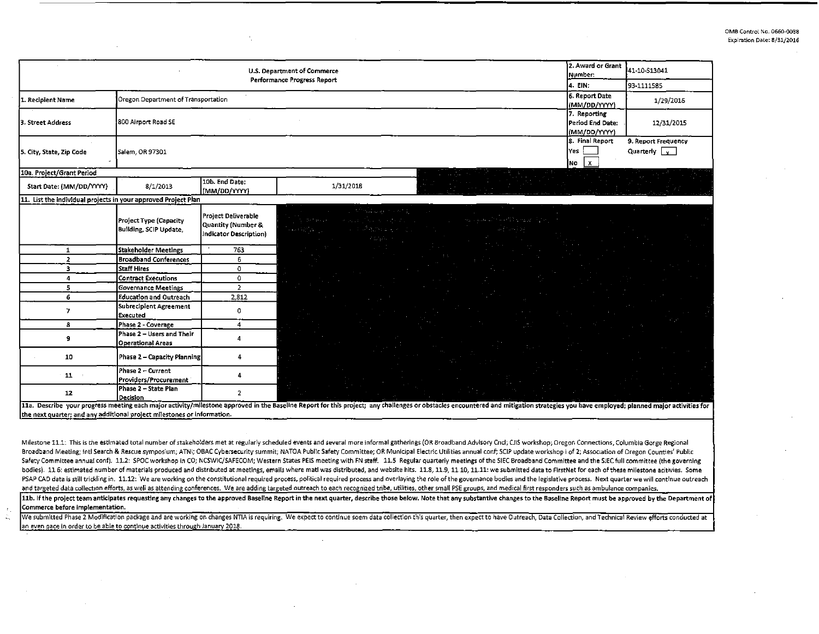| 2. Award or Grant<br>U.S. Department of Commerce<br>Number:<br>Performance Progress Report |                                                         |                                                                     |                                                                                                                                                                                                                                |                                                  | 41-10-S13041                                |
|--------------------------------------------------------------------------------------------|---------------------------------------------------------|---------------------------------------------------------------------|--------------------------------------------------------------------------------------------------------------------------------------------------------------------------------------------------------------------------------|--------------------------------------------------|---------------------------------------------|
|                                                                                            | 4. EIN.                                                 | 93-1111585                                                          |                                                                                                                                                                                                                                |                                                  |                                             |
| 1. Recipient Name                                                                          | Oregon Department of Transportation                     |                                                                     |                                                                                                                                                                                                                                | 6. Report Date<br>(MM/DD/YYYY)                   | 1/29/2016                                   |
| 3. Street Address                                                                          | 800 Airport Road SE                                     |                                                                     |                                                                                                                                                                                                                                | 7. Reporting<br>Period End Date:<br>(MM/DD/YYYY) | 12/31/2015                                  |
| 5. City, State, Zip Code                                                                   | Salem, OR 97301                                         |                                                                     |                                                                                                                                                                                                                                | 8. Final Report<br><b>Yes</b><br>$NQ \mid X$     | 9. Report Frequency<br>Quarterly $\sqrt{x}$ |
| 10a. Project/Grant Period                                                                  |                                                         |                                                                     |                                                                                                                                                                                                                                |                                                  |                                             |
| Start Date: (MM/DD/YYYY)                                                                   | 8/1/2013                                                | 10b. End Date:<br>(MM/DD/YYYY)                                      | 1/31/2018                                                                                                                                                                                                                      |                                                  |                                             |
| 11. List the individual projects in your approved Project Plan                             |                                                         |                                                                     |                                                                                                                                                                                                                                |                                                  |                                             |
|                                                                                            | Project Type (Capacity<br><b>Building, SCIP Update,</b> | Project Deliverable<br>Quantity (Number &<br>Indicator Description) | tollagement and<br>the community world except of the<br>of any additional control of a problem of the control<br>a staffet personal control<br>P. Carpetino Corp                                                               |                                                  |                                             |
| $\mathbf{1}$                                                                               | <b>Stakeholder Meetings</b>                             | 763                                                                 |                                                                                                                                                                                                                                |                                                  |                                             |
| $\overline{2}$                                                                             | <b>Broadband Conferences</b>                            | 6                                                                   |                                                                                                                                                                                                                                |                                                  |                                             |
| 3                                                                                          | Staff Hires                                             | 0                                                                   |                                                                                                                                                                                                                                |                                                  |                                             |
| 4                                                                                          | <b>Contract Executions</b>                              | 0                                                                   |                                                                                                                                                                                                                                |                                                  |                                             |
| 5                                                                                          | <b>Governance Meetings</b>                              | $\overline{2}$                                                      |                                                                                                                                                                                                                                |                                                  |                                             |
| 6                                                                                          | <b>Education and Outreach</b>                           | 2,812                                                               |                                                                                                                                                                                                                                |                                                  |                                             |
| $\overline{7}$                                                                             | Subrecipient Agreement<br>Executed                      | 0                                                                   |                                                                                                                                                                                                                                |                                                  |                                             |
| 8                                                                                          | Phase 2 - Coverage                                      | 4                                                                   |                                                                                                                                                                                                                                |                                                  |                                             |
| 9                                                                                          | Phase 2 – Users and Their<br><b>Operational Areas</b>   |                                                                     |                                                                                                                                                                                                                                |                                                  |                                             |
| 10                                                                                         | Phase 2 - Capacity Planning                             | 4                                                                   |                                                                                                                                                                                                                                |                                                  |                                             |
| 11                                                                                         | Phase 2 - Current<br>Providers/Procurement              | 4                                                                   |                                                                                                                                                                                                                                |                                                  |                                             |
| 12                                                                                         | Phase 2 - State Plan<br>Decision                        | $\mathbf{2}$                                                        | 11a. Describe your progress meeting each major activity/milestone approved in the Baseline Report for this project: any challenges or obstacles encountered and mitigation strategies you have employed: planned major activit |                                                  |                                             |

the next quarter: and any additional project milestones or information.

 $\mathcal{I}_\alpha$ 

 $\mathbb{Z}_2$ 

Milestone 11.1: This is the estimated total number of stakeholders met at regularly scheduled events and several more informal gatherings (OR Broadband Advisory Cnd; CJIS workshop; Oregon Connections, Columbia Gorge Region Broadband Meeting; Inti Search & Rescue symposium; ATNI; OBAC Cybersecurity summit; NATOA Public Safety Committee; OR Municipal Electric Utilities annual conf; SCIP update workshop i of 2; Association of Oregon Counties' P Safety Committee annual conf). 11.2: SPOC workshop in CO; NCSWIC/SAFECOM; Western States PELS meeting with FN staff. 11.5 Regular quarterly meetings of the SIEC Broadband Committee and the SIEC full committee (the governin bodies). 11.6: estimated number of materials produced and distributed at meetings, emails where matl was distributed, and website hits. 11.8, 11.9, 11.10, 11.11: we submitted data to FirstNet for each of these milestone ac PSAP CAD data is still trickling in. 11.12: We are working on the constitutional required process, political required process and overlaying the role of the governance bodies and the legislative process. Next quarter we wi

and targeted data collection efforts, as well as attending conferences. We are adding targeted outreach to each recognized tribe, utilities, other small PSE groups, and medical first responders such as ambulance companies. Commerce before implementation.

We submitted Phase 2 Modification package and are working on changes NTIA is requiring. We expect to continue soem data collection this quarter, then expect to have Outreach, Data Collection, and Technical Review efforts c an even pace in order to be able to continue activities through January 2018.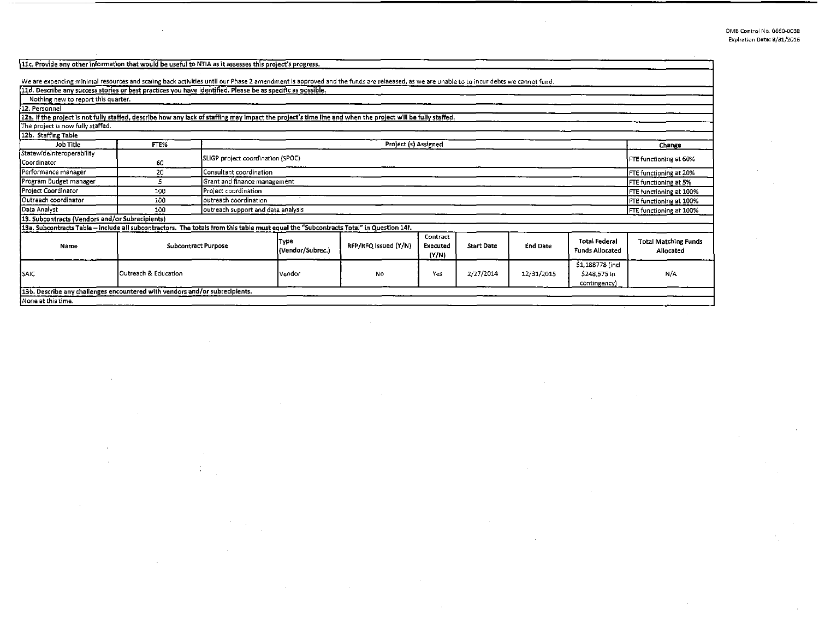$\alpha$ 

 $\sim$ 

 $\bar{\psi}$ 

v.

| 11c. Provide any other information that would be useful to NTIA as it assesses this project's progress.                                                                                |                      |                                                             |                            |                      |                               |                   |                 |                                                 |                                          |
|----------------------------------------------------------------------------------------------------------------------------------------------------------------------------------------|----------------------|-------------------------------------------------------------|----------------------------|----------------------|-------------------------------|-------------------|-----------------|-------------------------------------------------|------------------------------------------|
| We are expending minimal resources and scaling back activities until our Phase 2 amendment is approved and the funds are relaeased, as we are unable to to incur debts we cannot fund. |                      |                                                             |                            |                      |                               |                   |                 |                                                 |                                          |
| 11d. Describe any success stories or best practices you have identified. Please be as specific as possible.                                                                            |                      |                                                             |                            |                      |                               |                   |                 |                                                 |                                          |
| Nothing new to report this quarter.                                                                                                                                                    |                      |                                                             |                            |                      |                               |                   |                 |                                                 |                                          |
| 12. Personnel                                                                                                                                                                          |                      |                                                             |                            |                      |                               |                   |                 |                                                 |                                          |
| 12a. If the project is not fully staffed, describe how any lack of staffing may impact the project's time line and when the project will be fully staffed.                             |                      |                                                             |                            |                      |                               |                   |                 |                                                 |                                          |
| The project is now fully staffed.                                                                                                                                                      |                      |                                                             |                            |                      |                               |                   |                 |                                                 |                                          |
| 12b. Staffing Table                                                                                                                                                                    |                      |                                                             |                            |                      |                               |                   |                 |                                                 |                                          |
| Job Title                                                                                                                                                                              | FTE%                 | Project (s) Assigned                                        |                            |                      |                               |                   |                 |                                                 | Change                                   |
| StatewideInteroperability                                                                                                                                                              |                      |                                                             |                            |                      |                               |                   |                 |                                                 |                                          |
| Coordinator                                                                                                                                                                            | 60                   | SLIGP project coordination (SPOC)<br>FTE functioning at 60% |                            |                      |                               |                   |                 |                                                 |                                          |
| Performance manager                                                                                                                                                                    | 20                   | Consultant coordination                                     |                            |                      |                               |                   |                 |                                                 | FTE functioning at 20%                   |
| Program Budget manager                                                                                                                                                                 | 5.                   | Grant and finance management                                |                            |                      |                               |                   |                 |                                                 | FTE functioning at 5%                    |
| Project Coordinator                                                                                                                                                                    | 100                  | Project coordination                                        |                            |                      |                               |                   |                 |                                                 | FTE functioning at 100%                  |
| Outreach coordinator                                                                                                                                                                   | 100                  | outreach coordination                                       |                            |                      |                               |                   |                 |                                                 | FTE functioning at 100%                  |
| Data Analyst                                                                                                                                                                           | 100                  | outreach support and data analysis                          |                            |                      |                               |                   |                 |                                                 | FTE functioning at 100%                  |
| 13. Subcontracts (Vendors and/or Subrecipients)                                                                                                                                        |                      |                                                             |                            |                      |                               |                   |                 |                                                 |                                          |
| 13a. Subcontracts Table - include all subcontractors. The totals from this table must equal the "Subcontracts Total" in Question 14f.                                                  |                      |                                                             |                            |                      |                               |                   |                 |                                                 |                                          |
| Name                                                                                                                                                                                   | Subcontract Purpose  |                                                             | lType.<br>(Vendor/Subrec.) | RFP/RFQ Issued (Y/N) | Contract<br>Executed<br>(Y/N) | <b>Start Date</b> | <b>End Date</b> | <b>Total Federal</b><br><b>Funds Allocated</b>  | <b>Total Matching Funds</b><br>Allocated |
| <b>SAIC</b>                                                                                                                                                                            | Outreach & Education |                                                             | Vendor                     | No                   | Yes                           | 2/27/2014         | 12/31/2015      | 51,188778 (incl<br>\$248.575 in<br>contingency) | N/A                                      |
| 13b. Describe any challenges encountered with vendors and/or subrecipients.                                                                                                            |                      |                                                             |                            |                      |                               |                   |                 |                                                 |                                          |
| None at this time.                                                                                                                                                                     |                      |                                                             |                            |                      |                               |                   |                 |                                                 |                                          |

 $\sim$ 

 $\bar{.}$ 

 $\frac{1}{2}$ 

 $\sim$ 

 $\sim$ 

. .

 $\mathcal{A}$ 

 $\sim$  $\mathcal{A}$ 

 $\bar{z}$ 

 $\sim$